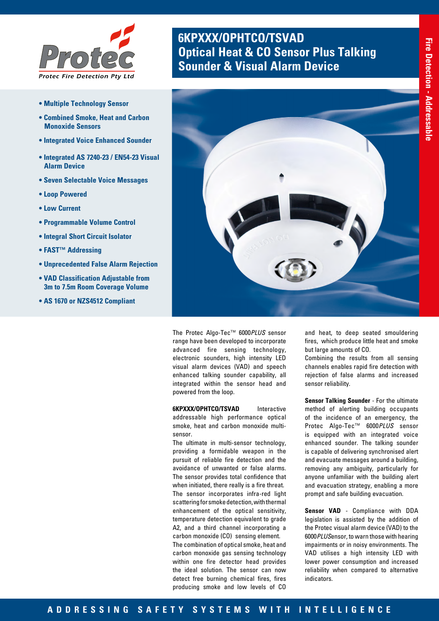

- **Multiple Technology Sensor**
- **Combined Smoke, Heat and Carbon Monoxide Sensors**
- **Integrated Voice Enhanced Sounder**
- **Integrated AS 7240-23 / EN54-23 Visual Alarm Device**
- **Seven Selectable Voice Messages**
- **Loop Powered**
- **Low Current**
- **Programmable Volume Control**
- **Integral Short Circuit Isolator**
- **FAST™ Addressing**
- **Unprecedented False Alarm Rejection**
- **VAD Classification Adjustable from 3m to 7.5m Room Coverage Volume**
- **AS 1670 or NZS4512 Compliant**

# **6KPXXX/OPHTCO/TSVAD Optical Heat & CO Sensor Plus Talking<br><b>Sounder & Visual Alarm Device**



The Protec Algo-Tec™ 6000*PLUS* sensor range have been developed to incorporate advanced fire sensing technology, electronic sounders, high intensity LED visual alarm devices (VAD) and speech enhanced talking sounder capability, all integrated within the sensor head and powered from the loop.

**6KPXXX/OPHTCO/TSVAD** Interactive

addressable high performance optical smoke, heat and carbon monoxide multisensor.

The ultimate in multi-sensor technology, providing a formidable weapon in the pursuit of reliable fire detection and the avoidance of unwanted or false alarms. The sensor provides total confidence that when initiated, there really is a fire threat. The sensor incorporates infra-red light scattering for smoke detection, with thermal enhancement of the optical sensitivity, temperature detection equivalent to grade A2, and a third channel incorporating a carbon monoxide (CO) sensing element. The combination of optical smoke, heat and carbon monoxide gas sensing technology within one fire detector head provides the ideal solution. The sensor can now detect free burning chemical fires, fires producing smoke and low levels of CO

and heat, to deep seated smouldering fires, which produce little heat and smoke but large amounts of CO.

Combining the results from all sensing channels enables rapid fire detection with rejection of false alarms and increased sensor reliability.

**Sensor Talking Sounder** - For the ultimate method of alerting building occupants of the incidence of an emergency, the Protec Algo-Tec™ 6000*PLUS* sensor is equipped with an integrated voice enhanced sounder. The talking sounder is capable of delivering synchronised alert and evacuate messages around a building, removing any ambiguity, particularly for anyone unfamiliar with the building alert and evacuation strategy, enabling a more prompt and safe building evacuation.

**Sensor VAD** - Compliance with DDA legislation is assisted by the addition of the Protec visual alarm device (VAD) to the 6000*PLUS*ensor, to warn those with hearing impairments or in noisy environments. The VAD utilises a high intensity LED with lower power consumption and increased reliability when compared to alternative indicators.